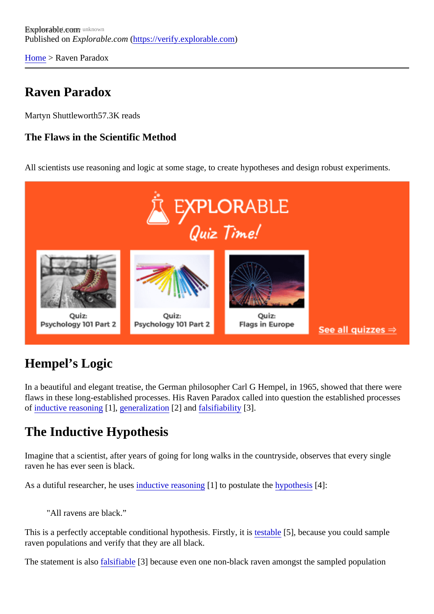[Home](https://verify.explorable.com/) > Raven Paradox

#### Raven Paradox

Martyn Shuttlewort<sup>57.3K</sup> reads

The Flaws in the Scientific Method

All scientists use reasoning and logic at some stage, to create hypotheses and design robust experiments.

## Hempel's Logic

In a beautiful and elegant treatise, the German philosopher Carl G Hempel, in 1965, showed that there we flaws in these long-established processes. His Raven Paradox called into question the established proces of [inductive reasonin](https://verify.explorable.com/inductive-reasoning)g [], [generalizatio](https://verify.explorable.com/what-is-generalization)n[2] and [falsifiability](https://verify.explorable.com/falsifiability) [3].

## The Inductive Hypothesis

Imagine that a scientist, after years of going for long walks in the countryside, observes that every single raven he has ever seen is black.

As a dutiful researcher, he useductive reasoning [1] to postulate the upothesis<sup>[4]</sup>:

"All ravens are black."

This is a perfectly acceptable conditional hypothesis. Firstly tests bld 5], because you could sample raven populations and verify that they are all black.

The statement is alselsifiable<sup>[3]</sup> because even one non-black raven amongst the sampled population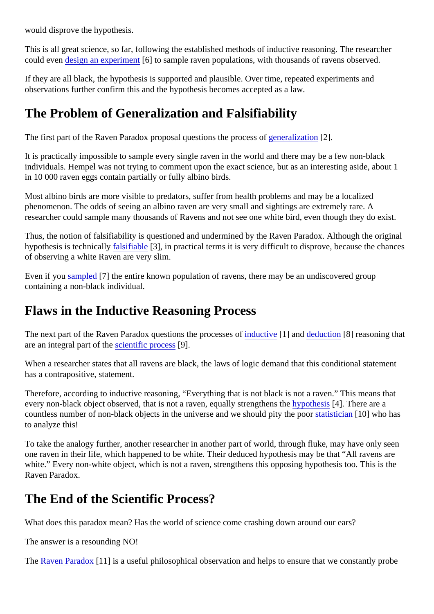would disprove the hypothesis.

This is all great science, so far, following the established methods of inductive reasoning. The researcher could everdesign an experimer<sup>6</sup>] to sample raven populations, with thousands of ravens observed.

If they are all black, the hypothesis is supported and plausible. Over time, repeated experiments and observations further confirm this and the hypothesis becomes accepted as a law.

## The Problem of Generalization and Falsifiability

The first part of the Raven Paradox proposal questions the process continuation [2].

It is practically impossible to sample every single raven in the world and there may be a few non-black individuals. Hempel was not trying to comment upon the exact science, but as an interesting aside, about 1 in 10 000 raven eggs contain partially or fully albino birds.

Most albino birds are more visible to predators, suffer from health problems and may be a localized phenomenon. The odds of seeing an albino raven are very small and sightings are extremely rare. A researcher could sample many thousands of Ravens and not see one white bird, even though they do exist.

Thus, the notion of falsifiability is questioned and undermined by the Raven Paradox. Although the original hypothesis is technicallialsifiable<sup>[3]</sup>, in practical terms it is very difficult to disprove, because the chances of observing a white Raven are very slim.

Even if yo[u sampled](https://verify.explorable.com/what-is-sampling) 7] the entire known population of ravens, there may be an undiscovered group containing a non-black individual.

#### Flaws in the Inductive Reasoning Process

The next part of the Raven Paradox questions the procesion is and [deduction](https://verify.explorable.com/deductive-reasoning) [8] reasoning that are an integral part of t[he scientific proces](https://verify.explorable.com/what-is-the-scientific-method) $[9]$ .

When a researcher states that all ravens are black, the laws of logic demand that this conditional statement has a contrapositive, statement.

Therefore, according to inductive reasoning, "Everything that is not black is not a raven." This means that every non-black object observed, that is not a raven, equally strengthen polities is [4]. There are a countless number of non-black objects in the universe and we should pity the absorban [10] who has to analyze this!

To take the analogy further, another researcher in another part of world, through fluke, may have only see one raven in their life, which happened to be white. Their deduced hypothesis may be that "All ravens are white." Every non-white object, which is not a raven, strengthens this opposing hypothesis too. This is the Raven Paradox.

## The End of the Scientific Process?

What does this paradox mean? Has the world of science come crashing down around our ears?

The answer is a resounding NO!

The [Raven Parado](http://en.wikipedia.org/wiki/Raven_paradox)m 1] is a useful philosophical observation and helps to ensure that we constantly probe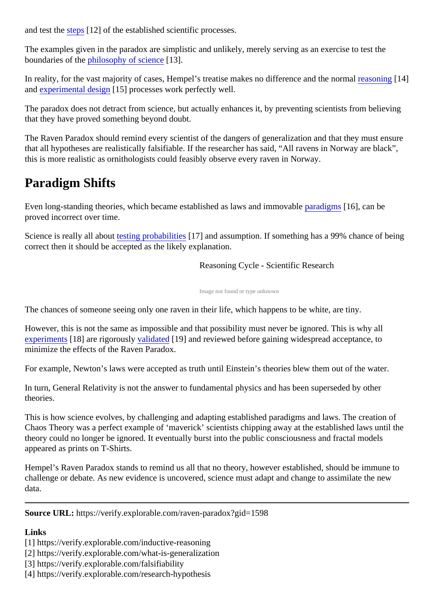and test th[e steps](https://verify.explorable.com/steps-of-the-scientific-method)<sup>[12]</sup> of the established scientific processes.

The examples given in the paradox are simplistic and unlikely, merely serving as an exercise to test the boundaries of the hilosophy of science 3].

In reality, for the vast majority of cases, Hempel's treatise makes no difference and the normal reason an[d experimental desig](https://verify.explorable.com/true-experimental-design)n 5] processes work perfectly well.

The paradox does not detract from science, but actually enhances it, by preventing scientists from believing that they have proved something beyond doubt.

The Raven Paradox should remind every scientist of the dangers of generalization and that they must ens that all hypotheses are realistically falsifiable. If the researcher has said, "All ravens in Norway are black", this is more realistic as ornithologists could feasibly observe every raven in Norway.

# Paradigm Shifts

Even long-standing theories, which became established as laws and immortally paradigms [16], can be proved incorrect over time.

Science is really all abotesting probabilities<sup>17</sup>] and assumption. If something has a 99% chance of being correct then it should be accepted as the likely explanation.

Reasoning Cycle - Scientific Research

Image not found or type unknown

The chances of someone seeing only one raven in their life, which happens to be white, are tiny.

However, this is not the same as impossible and that possibility must never be ignored. This is why all [experiment](https://verify.explorable.com/conducting-an-experiment) \$18] are rigorousl walidated [19] and reviewed before gaining widespread acceptance, to minimize the effects of the Raven Paradox.

For example, Newton's laws were accepted as truth until Einstein's theories blew them out of the water.

In turn, General Relativity is not the answer to fundamental physics and has been superseded by other theories.

This is how science evolves, by challenging and adapting established paradigms and laws. The creation of Chaos Theory was a perfect example of 'maverick' scientists chipping away at the established laws until the theory could no longer be ignored. It eventually burst into the public consciousness and fractal models appeared as prints on T-Shirts.

Hempel's Raven Paradox stands to remind us all that no theory, however established, should be immune challenge or debate. As new evidence is uncovered, science must adapt and change to assimilate the new data.

Source URL: https://verify.explorable.com/raven-paradox?gid=1598

Links

[1] https://verify.explorable.com/inductive-reasoning

[2] https://verify.explorable.com/what-is-generalization

[3] https://verify.explorable.com/falsifiability

[4] https://verify.explorable.com/research-hypothesis